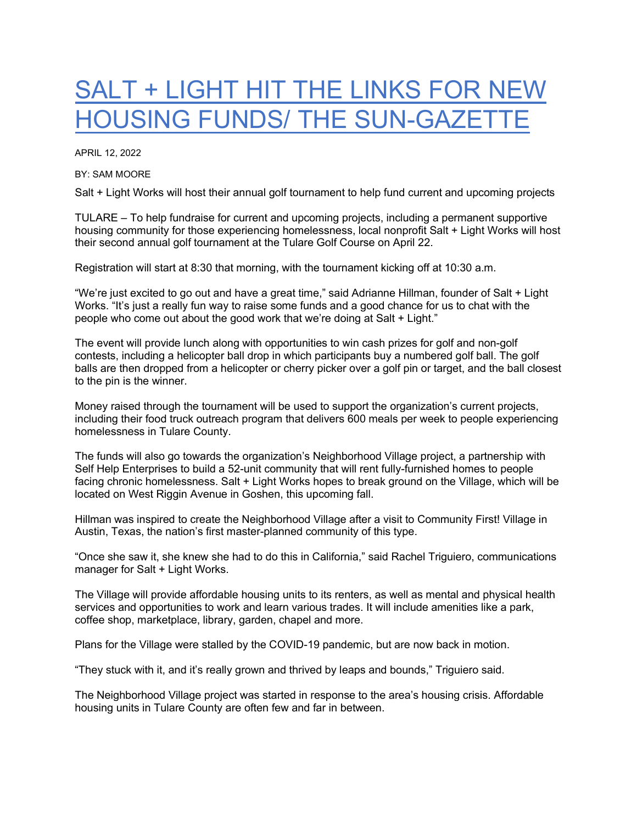## SALT + LIGHT HIT THE LINKS FOR NEW HOUSING FUNDS/ THE SUN-GAZET

APRIL 12, 2022

BY: SAM MOORE

Salt + Light Works will host their annual golf tournament to help fund current and upcoming projects

TULARE – To help fundraise for current and upcoming projects, including a permanent supportive housing community for those experiencing homelessness, local nonprofit Salt + Light Works will host their second annual golf tournament at the Tulare Golf Course on April 22.

Registration will start at 8:30 that morning, with the tournament kicking off at 10:30 a.m.

"We're just excited to go out and have a great time," said Adrianne Hillman, founder of Salt + Light Works. "It's just a really fun way to raise some funds and a good chance for us to chat with the people who come out about the good work that we're doing at Salt + Light."

The event will provide lunch along with opportunities to win cash prizes for golf and non-golf contests, including a helicopter ball drop in which participants buy a numbered golf ball. The golf balls are then dropped from a helicopter or cherry picker over a golf pin or target, and the ball closest to the pin is the winner.

Money raised through the tournament will be used to support the organization's current projects, including their food truck outreach program that delivers 600 meals per week to people experiencing homelessness in Tulare County.

The funds will also go towards the organization's Neighborhood Village project, a partnership with Self Help Enterprises to build a 52-unit community that will rent fully-furnished homes to people facing chronic homelessness. Salt + Light Works hopes to break ground on the Village, which will be located on West Riggin Avenue in Goshen, this upcoming fall.

Hillman was inspired to create the Neighborhood Village after a visit to Community First! Village in Austin, Texas, the nation's first master-planned community of this type.

"Once she saw it, she knew she had to do this in California," said Rachel Triguiero, communications manager for Salt + Light Works.

The Village will provide affordable housing units to its renters, as well as mental and physical health services and opportunities to work and learn various trades. It will include amenities like a park, coffee shop, marketplace, library, garden, chapel and more.

Plans for the Village were stalled by the COVID-19 pandemic, but are now back in motion.

"They stuck with it, and it's really grown and thrived by leaps and bounds," Triguiero said.

The Neighborhood Village project was started in response to the area's housing crisis. Affordable housing units in Tulare County are often few and far in between.